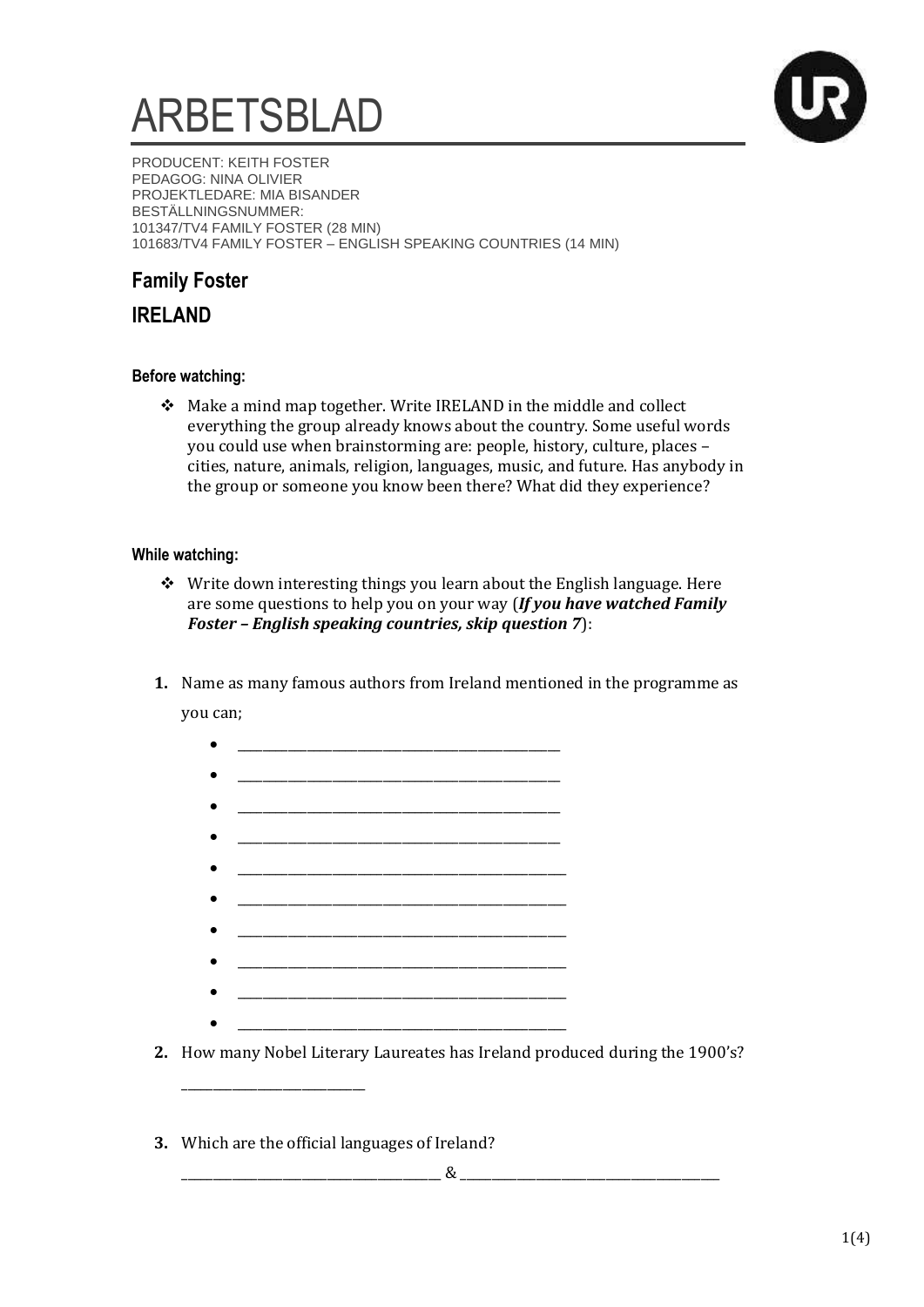# ARBETSBLAD



PRODUCENT: KEITH FOSTER PEDAGOG: NINA OLIVIER PROJEKTLEDARE: MIA BISANDER BESTÄLLNINGSNUMMER: 101347/TV4 FAMILY FOSTER (28 MIN) 101683/TV4 FAMILY FOSTER – ENGLISH SPEAKING COUNTRIES (14 MIN)

## **Family Foster**

**IRELAND** 

## **Before watching:**

 Make a mind map together. Write IRELAND in the middle and collect everything the group already knows about the country. Some useful words you could use when brainstorming are: people, history, culture, places – cities, nature, animals, religion, languages, music, and future. Has anybody in the group or someone you know been there? What did they experience?

### **While watching:**

- Write down interesting things you learn about the English language. Here are some questions to help you on your way (*If you have watched Family Foster – English speaking countries, skip question 7*):
- **1.** Name as many famous authors from Ireland mentioned in the programme as you can;

| <u> 1980 - Johann John Stone, mars eta biztanleria (h. 1980).</u>            |  |
|------------------------------------------------------------------------------|--|
|                                                                              |  |
|                                                                              |  |
|                                                                              |  |
|                                                                              |  |
|                                                                              |  |
|                                                                              |  |
|                                                                              |  |
|                                                                              |  |
|                                                                              |  |
|                                                                              |  |
| 2. How many Nobel Literary Laureates has Ireland produced during the 1900's? |  |

**3.** Which are the official languages of Ireland?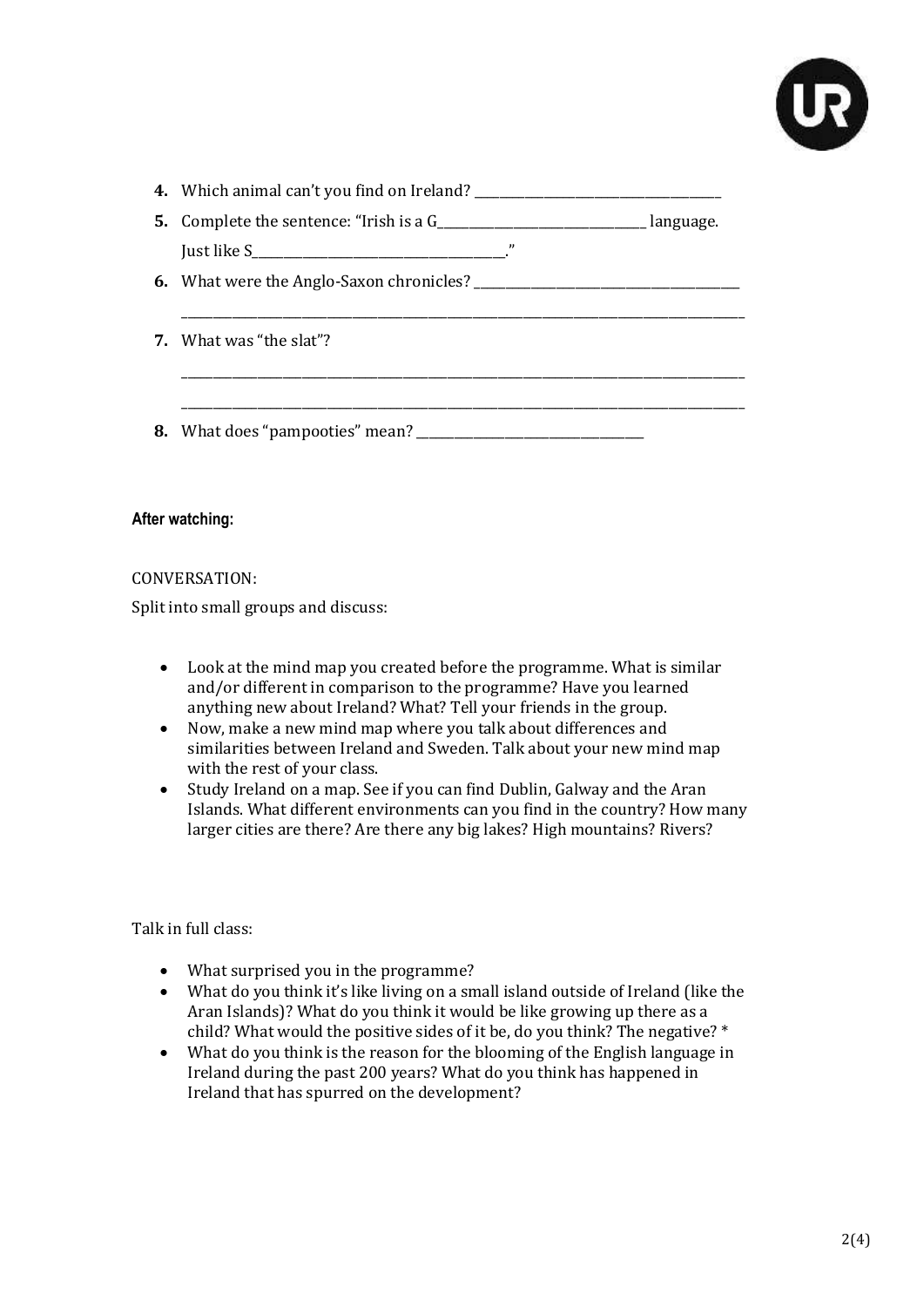

| $^{\prime\prime}$               |  |
|---------------------------------|--|
|                                 |  |
|                                 |  |
| <b>7.</b> What was "the slat"?  |  |
|                                 |  |
|                                 |  |
| 8. What does "pampooties" mean? |  |

#### **After watching:**

#### CONVERSATION:

Split into small groups and discuss:

- Look at the mind map you created before the programme. What is similar and/or different in comparison to the programme? Have you learned anything new about Ireland? What? Tell your friends in the group.
- Now, make a new mind map where you talk about differences and similarities between Ireland and Sweden. Talk about your new mind map with the rest of your class.
- Study Ireland on a map. See if you can find Dublin, Galway and the Aran Islands. What different environments can you find in the country? How many larger cities are there? Are there any big lakes? High mountains? Rivers?

Talk in full class:

- What surprised you in the programme?
- What do you think it's like living on a small island outside of Ireland (like the Aran Islands)? What do you think it would be like growing up there as a child? What would the positive sides of it be, do you think? The negative? \*
- What do you think is the reason for the blooming of the English language in Ireland during the past 200 years? What do you think has happened in Ireland that has spurred on the development?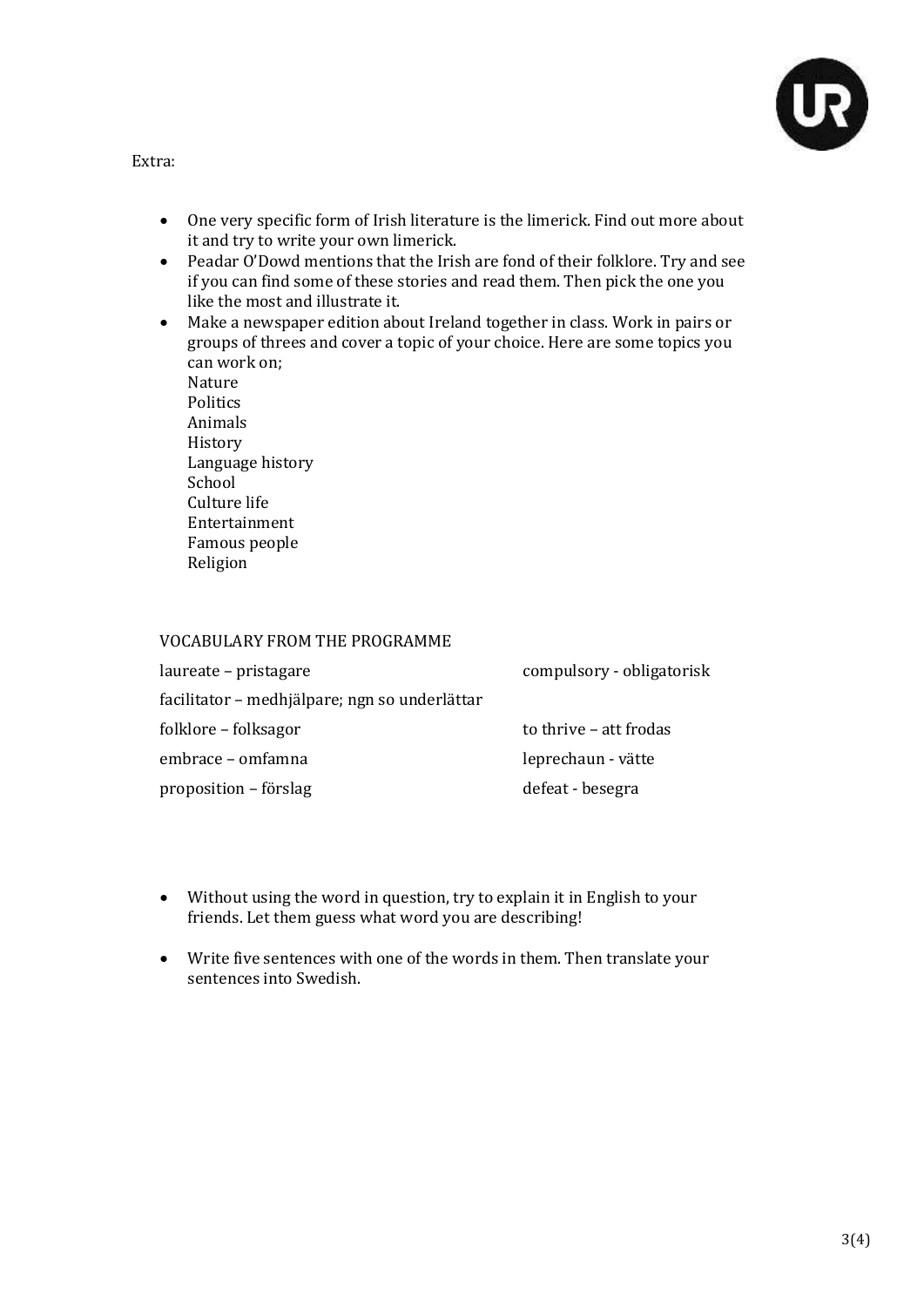

Extra:

- One very specific form of Irish literature is the limerick. Find out more about it and try to write your own limerick.
- Peadar O'Dowd mentions that the Irish are fond of their folklore. Try and see if you can find some of these stories and read them. Then pick the one you like the most and illustrate it.
- Make a newspaper edition about Ireland together in class. Work in pairs or groups of threes and cover a topic of your choice. Here are some topics you can work on;

Nature **Politics** Animals History Language history School Culture life Entertainment Famous people Religion

#### VOCABULARY FROM THE PROGRAMME

| laureate – pristagare                         | compulsory - obligatorisk |
|-----------------------------------------------|---------------------------|
| facilitator – medhjälpare; ngn so underlättar |                           |
| folklore – folksagor                          | to thrive - att frodas    |
| embrace - omfamna                             | leprechaun - vätte        |
| proposition – förslag                         | defeat - besegra          |

- Without using the word in question, try to explain it in English to your friends. Let them guess what word you are describing!
- Write five sentences with one of the words in them. Then translate your sentences into Swedish.